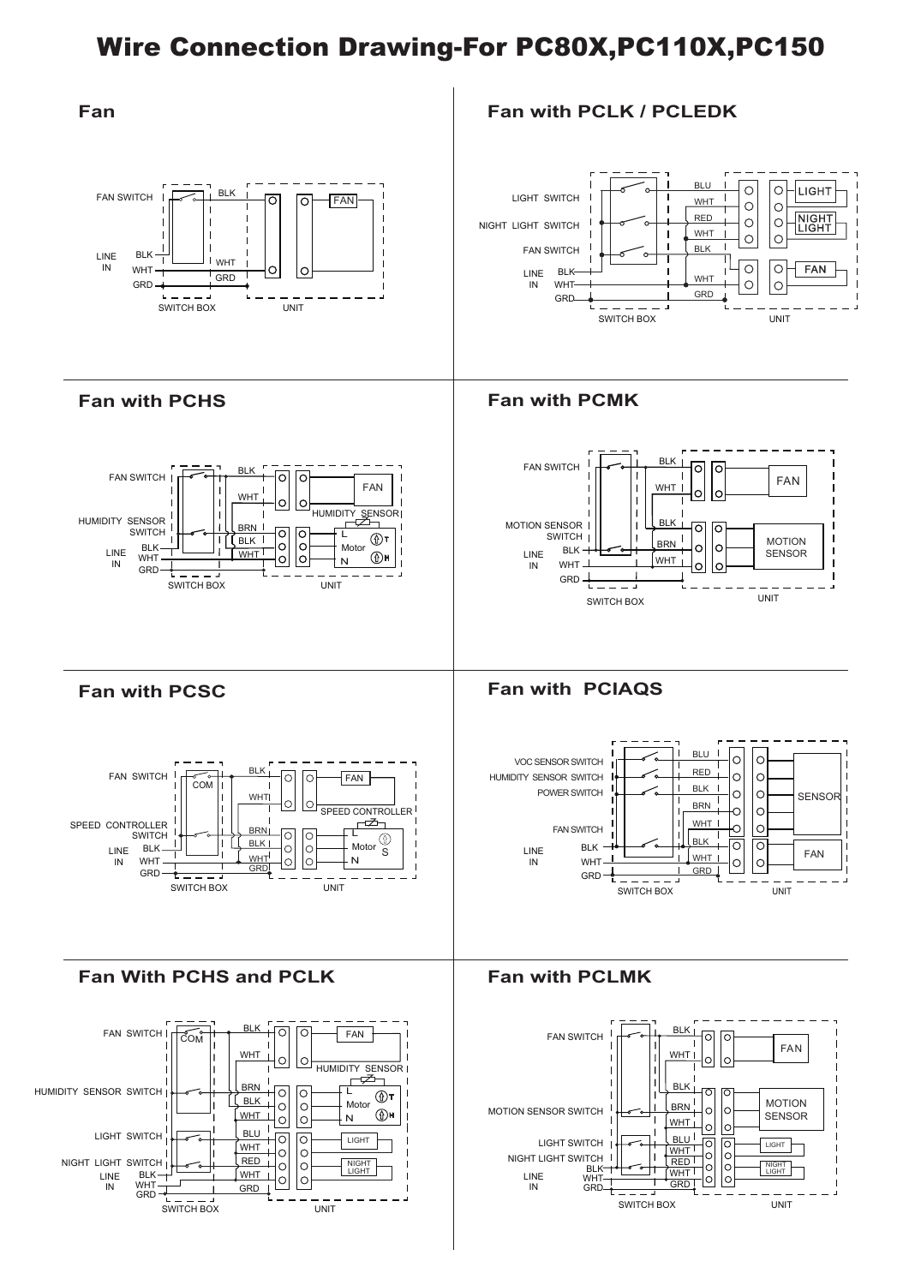## Wire Connection Drawing-For PC80X,PC110X,PC150